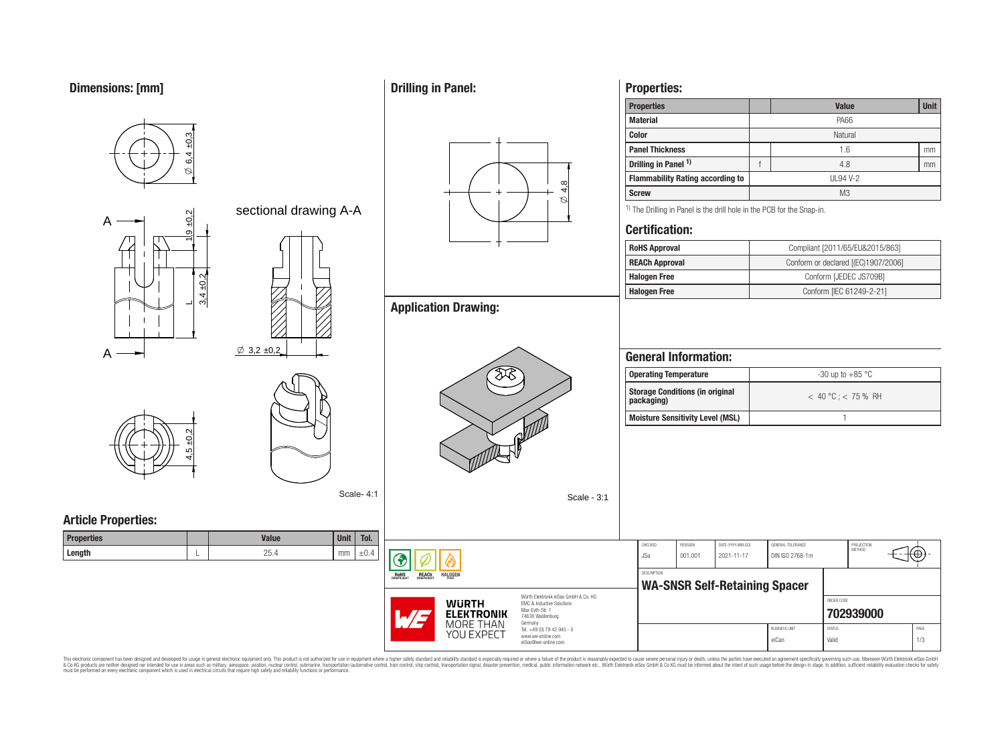**Dimensions: [mm]**



**Properties:**

**Drilling in Panel:**

This electronic component has been designed and developed for usage in general electronic equipment only. This product is not authorized for use in equipment where a higher safely standard and reliability standard si espec & Ook produces the membed of the membed of the steam such as maility, aerospes, avidion, much membed membed member of the membed membed membed membed membed membed membed membed membed membed membed membed membed membed me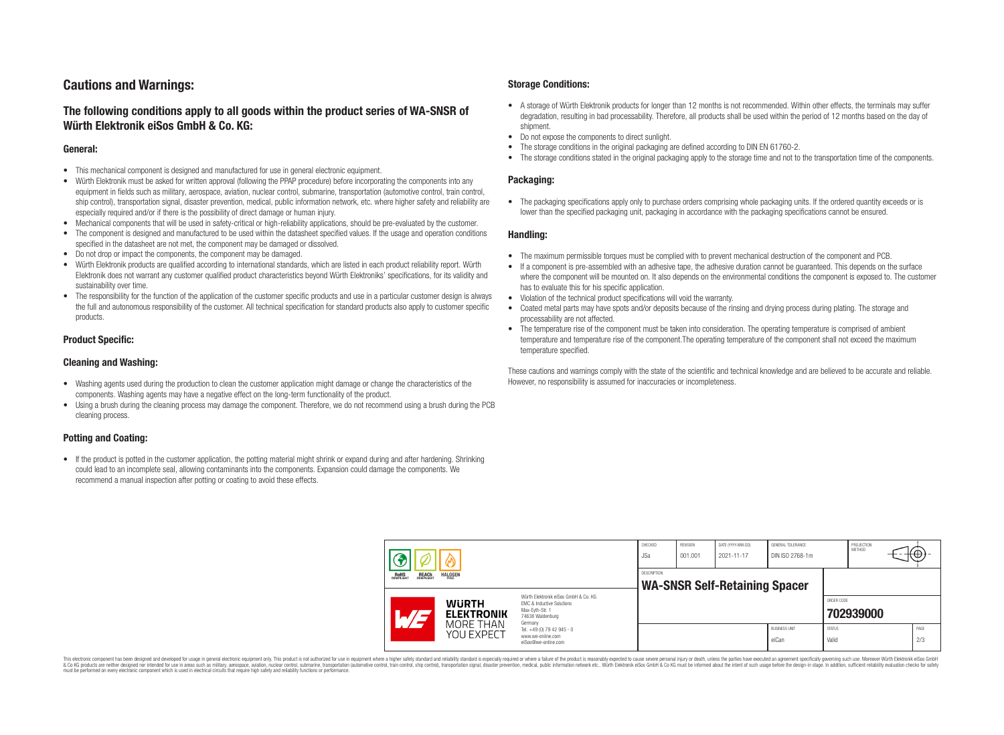# **Cautions and Warnings:**

# **The following conditions apply to all goods within the product series of WA-SNSR of Würth Elektronik eiSos GmbH & Co. KG:**

### **General:**

- This mechanical component is designed and manufactured for use in general electronic equipment.
- Würth Elektronik must be asked for written approval (following the PPAP procedure) before incorporating the components into any equipment in fields such as military, aerospace, aviation, nuclear control, submarine, transportation (automotive control, train control, ship control), transportation signal, disaster prevention, medical, public information network, etc. where higher safety and reliability are especially required and/or if there is the possibility of direct damage or human injury.
- Mechanical components that will be used in safety-critical or high-reliability applications, should be pre-evaluated by the customer.
- The component is designed and manufactured to be used within the datasheet specified values. If the usage and operation conditions specified in the datasheet are not met, the component may be damaged or dissolved.
- Do not drop or impact the components, the component may be damaged.<br>• Wirth Elektronik products are qualified according to international standard
- Würth Elektronik products are qualified according to international standards, which are listed in each product reliability report. Würth Elektronik does not warrant any customer qualified product characteristics beyond Würth Elektroniks' specifications, for its validity and sustainability over time.
- The responsibility for the function of the application of the customer specific products and use in a particular customer design is always the full and autonomous responsibility of the customer. All technical specification for standard products also apply to customer specific products.

### **Product Specific:**

### **Cleaning and Washing:**

- Washing agents used during the production to clean the customer application might damage or change the characteristics of the components. Washing agents may have a negative effect on the long-term functionality of the product.
- Using a brush during the cleaning process may damage the component. Therefore, we do not recommend using a brush during the PCB cleaning process.

## **Potting and Coating:**

• If the product is potted in the customer application, the potting material might shrink or expand during and after hardening. Shrinking could lead to an incomplete seal, allowing contaminants into the components. Expansion could damage the components. We recommend a manual inspection after potting or coating to avoid these effects.

### **Storage Conditions:**

- A storage of Würth Elektronik products for longer than 12 months is not recommended. Within other effects, the terminals may suffer degradation, resulting in bad processability. Therefore, all products shall be used within the period of 12 months based on the day of shipment.
- Do not expose the components to direct sunlight.<br>• The storage conditions in the original packaging
- The storage conditions in the original packaging are defined according to DIN EN 61760-2.
- The storage conditions stated in the original packaging apply to the storage time and not to the transportation time of the components.

### **Packaging:**

• The packaging specifications apply only to purchase orders comprising whole packaging units. If the ordered quantity exceeds or is lower than the specified packaging unit, packaging in accordance with the packaging specifications cannot be ensured.

### **Handling:**

- The maximum permissible torques must be complied with to prevent mechanical destruction of the component and PCB.
- If a component is pre-assembled with an adhesive tape, the adhesive duration cannot be guaranteed. This depends on the surface where the component will be mounted on. It also depends on the environmental conditions the component is exposed to. The customer has to evaluate this for his specific application.
- Violation of the technical product specifications will void the warranty.
- Coated metal parts may have spots and/or deposits because of the rinsing and drying process during plating. The storage and processability are not affected.
- The temperature rise of the component must be taken into consideration. The operating temperature is comprised of ambient temperature and temperature rise of the component.The operating temperature of the component shall not exceed the maximum temperature specified.

These cautions and warnings comply with the state of the scientific and technical knowledge and are believed to be accurate and reliable. However, no responsibility is assumed for inaccuracies or incompleteness.

| <b>REACH</b><br>COMPLIANT<br><b>HALOGEN</b><br>ROHS<br>COMPLIANT |                          |                                                              | CHECKED<br><b>JSa</b>                                                                                                                                                                         | REVISION<br>001.001 | DATE (YYYY-MM-DD)<br>2021-11-17 | <b>GENERAL TOLERANCE</b><br>DIN ISO 2768-1m |                               | PROJECTION<br><b>METHOD</b> | $+(\oplus)^+$ |  |
|------------------------------------------------------------------|--------------------------|--------------------------------------------------------------|-----------------------------------------------------------------------------------------------------------------------------------------------------------------------------------------------|---------------------|---------------------------------|---------------------------------------------|-------------------------------|-----------------------------|---------------|--|
|                                                                  |                          |                                                              | DESCRIPTION<br><b>WA-SNSR Self-Retaining Spacer</b>                                                                                                                                           |                     |                                 |                                             |                               |                             |               |  |
|                                                                  | $\overline{\phantom{a}}$ | <b>WURTH</b><br><b>ELEKTRONIK</b><br>MORE THAN<br>YOU EXPECT | Würth Elektronik eiSos GmbH & Co. KG<br>EMC & Inductive Solutions<br>Max-Eyth-Str. 1<br>74638 Waldenburg<br>Germany<br>Tel. +49 (0) 79 42 945 - 0<br>www.we-online.com<br>eiSos@we-online.com |                     |                                 |                                             |                               | ORDER CODE<br>702939000     |               |  |
|                                                                  |                          |                                                              |                                                                                                                                                                                               |                     |                                 |                                             | <b>BUSINESS UNIT</b><br>eiCan | <b>STATUS</b><br>Valid      |               |  |

This electronic component has been designed and developed for usage in general electronic equipment only. This product is not authorized for use in equipment where a higher safety standard and reliability standard si espec & Ook produces the membed of the membed of the steam such as maility, aerospes, avidion, much membed membed member of the membed membed membed membed membed membed membed membed membed membed membed membed membed membed me